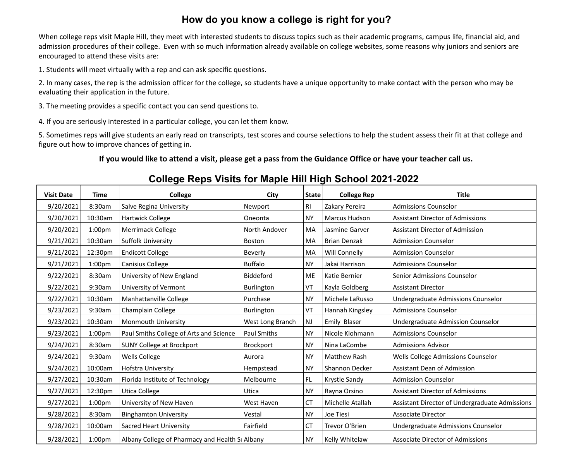## **How do you know a college is right for you?**

When college reps visit Maple Hill, they meet with interested students to discuss topics such as their academic programs, campus life, financial aid, and admission procedures of their college. Even with so much information already available on college websites, some reasons why juniors and seniors are encouraged to attend these visits are:

1. Students will meet virtually with a rep and can ask specific questions.

2. In many cases, the rep is the admission officer for the college, so students have a unique opportunity to make contact with the person who may be evaluating their application in the future.

3. The meeting provides a specific contact you can send questions to.

4. If you are seriously interested in a particular college, you can let them know.

5. Sometimes reps will give students an early read on transcripts, test scores and course selections to help the student assess their fit at that college and figure out how to improve chances of getting in.

## **If you would like to attend a visit, please get a pass from the Guidance Office or have your teacher call us.**

## **College Reps Visits for Maple Hill High School 2021-2022**

| <b>Visit Date</b> | Time               | College                                        | City               | <b>State</b>   | <b>College Rep</b>   | <b>Title</b>                                   |
|-------------------|--------------------|------------------------------------------------|--------------------|----------------|----------------------|------------------------------------------------|
| 9/20/2021         | 8:30am             | Salve Regina University                        | Newport            | R <sub>l</sub> | Zakary Pereira       | <b>Admissions Counselor</b>                    |
| 9/20/2021         | 10:30am            | Hartwick College                               | Oneonta            | <b>NY</b>      | <b>Marcus Hudson</b> | <b>Assistant Director of Admissions</b>        |
| 9/20/2021         | 1:00 <sub>pm</sub> | Merrimack College                              | North Andover      | MA             | Jasmine Garver       | <b>Assistant Director of Admission</b>         |
| 9/21/2021         | 10:30am            | <b>Suffolk University</b>                      | <b>Boston</b>      | MA             | <b>Brian Denzak</b>  | <b>Admission Counselor</b>                     |
| 9/21/2021         | 12:30pm            | <b>Endicott College</b>                        | Beverly            | MA             | Will Connelly        | <b>Admission Counselor</b>                     |
| 9/21/2021         | 1:00 <sub>pm</sub> | Canisius College                               | <b>Buffalo</b>     | <b>NY</b>      | Jakai Harrison       | <b>Admissions Counselor</b>                    |
| 9/22/2021         | 8:30am             | University of New England                      | <b>Biddeford</b>   | <b>ME</b>      | Katie Bernier        | Senior Admissions Counselor                    |
| 9/22/2021         | 9:30am             | University of Vermont                          | Burlington         | VT             | Kayla Goldberg       | <b>Assistant Director</b>                      |
| 9/22/2021         | 10:30am            | Manhattanville College                         | Purchase           | <b>NY</b>      | Michele LaRusso      | Undergraduate Admissions Counselor             |
| 9/23/2021         | 9:30am             | Champlain College                              | Burlington         | VT             | Hannah Kingsley      | <b>Admissions Counselor</b>                    |
| 9/23/2021         | 10:30am            | Monmouth University                            | West Long Branch   | <b>NJ</b>      | Emily Blaser         | Undergraduate Admission Counselor              |
| 9/23/2021         | 1:00 <sub>pm</sub> | Paul Smiths College of Arts and Science        | <b>Paul Smiths</b> | <b>NY</b>      | Nicole Klohmann      | <b>Admissions Counselor</b>                    |
| 9/24/2021         | 8:30am             | <b>SUNY College at Brockport</b>               | Brockport          | <b>NY</b>      | Nina LaCombe         | <b>Admissions Advisor</b>                      |
| 9/24/2021         | 9:30am             | Wells College                                  | Aurora             | <b>NY</b>      | Matthew Rash         | Wells College Admissions Counselor             |
| 9/24/2021         | 10:00am            | <b>Hofstra University</b>                      | Hempstead          | <b>NY</b>      | Shannon Decker       | <b>Assistant Dean of Admission</b>             |
| 9/27/2021         | 10:30am            | Florida Institute of Technology                | Melbourne          | FL.            | Krystle Sandy        | <b>Admission Counselor</b>                     |
| 9/27/2021         | 12:30pm            | Utica College                                  | Utica              | <b>NY</b>      | Rayna Orsino         | <b>Assistant Director of Admissions</b>        |
| 9/27/2021         | 1:00pm             | University of New Haven                        | West Haven         | <b>CT</b>      | Michelle Atallah     | Assistant Director of Undergraduate Admissions |
| 9/28/2021         | 8:30am             | <b>Binghamton University</b>                   | Vestal             | <b>NY</b>      | Joe Tiesi            | Associate Director                             |
| 9/28/2021         | 10:00am            | <b>Sacred Heart University</b>                 | Fairfield          | <b>CT</b>      | Trevor O'Brien       | Undergraduate Admissions Counselor             |
| 9/28/2021         | 1:00 <sub>pm</sub> | Albany College of Pharmacy and Health S Albany |                    | <b>NY</b>      | Kelly Whitelaw       | <b>Associate Director of Admissions</b>        |